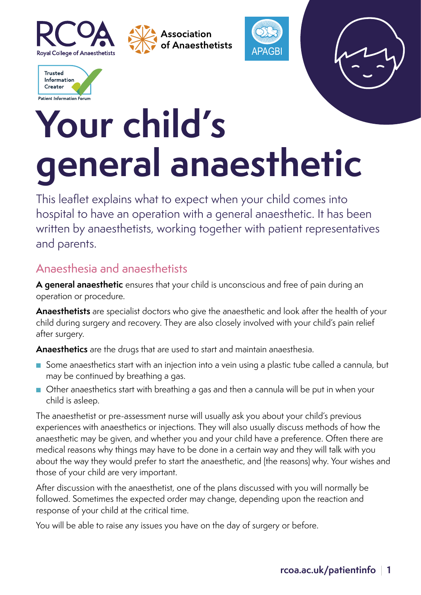







This leaflet explains what to expect when your child comes into hospital to have an operation with a general anaesthetic. It has been written by anaesthetists, working together with patient representatives and parents.

#### Anaesthesia and anaesthetists

**A general anaesthetic** ensures that your child is unconscious and free of pain during an operation or procedure.

**Anaesthetists** are specialist doctors who give the anaesthetic and look after the health of your child during surgery and recovery. They are also closely involved with your child's pain relief after surgery.

**Anaesthetics** are the drugs that are used to start and maintain anaesthesia.

- Some anaesthetics start with an injection into a vein using a plastic tube called a cannula, but may be continued by breathing a gas.
- Other anaesthetics start with breathing a gas and then a cannula will be put in when your child is asleep.

The anaesthetist or pre-assessment nurse will usually ask you about your child's previous experiences with anaesthetics or injections. They will also usually discuss methods of how the anaesthetic may be given, and whether you and your child have a preference. Often there are medical reasons why things may have to be done in a certain way and they will talk with you about the way they would prefer to start the anaesthetic, and (the reasons) why. Your wishes and those of your child are very important.

After discussion with the anaesthetist, one of the plans discussed with you will normally be followed. Sometimes the expected order may change, depending upon the reaction and response of your child at the critical time.

You will be able to raise any issues you have on the day of surgery or before.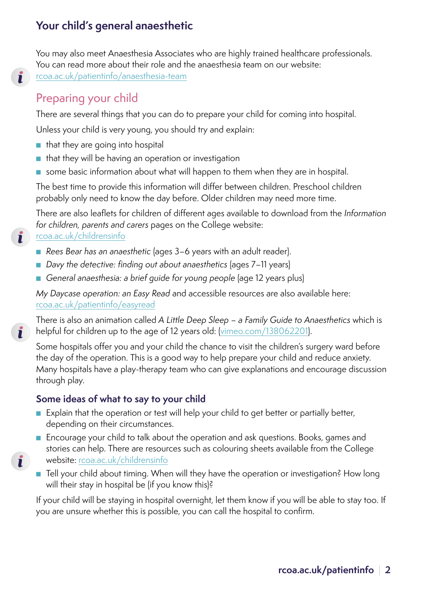You may also meet Anaesthesia Associates who are highly trained healthcare professionals. You can read more about their role and the anaesthesia team on our website: [rcoa.ac.uk/patientinfo/anaesthesia-team](http://rcoa.ac.uk/patientinfo/anaesthesia-team)

# Preparing your child

 $\mathbf{r}$ 

 $\mathbf{r}$ 

 $\mathbf{i}$ 

 $\mathbf{i}$ 

There are several things that you can do to prepare your child for coming into hospital.

Unless your child is very young, you should try and explain:

- that they are going into hospital
- that they will be having an operation or investigation
- some basic information about what will happen to them when they are in hospital.

The best time to provide this information will differ between children. Preschool children probably only need to know the day before. Older children may need more time.

There are also leaflets for children of different ages available to download from the *Information for children, parents and carers* pages on the College website:

#### [rcoa.ac.uk/childrensinfo](http://rcoa.ac.uk/childrensinfo)

- Rees Bear has an anaesthetic (ages 3–6 years with an adult reader).
- *Davy the detective: finding out about anaesthetics* (ages 7–11 years)
- *General anaesthesia: a brief quide for young people* (age 12 years plus)

*My Daycase operation: an Easy Read* and accessible resources are also available here: rcoa.ac.uk/patient[info/easyread](http://rcoa.ac.uk/patientinfo/easyread)

There is also an animation called *A Little Deep Sleep – a Family Guide to Anaesthetics* which is helpful for children up to the age of 12 years old: ([vimeo.com/138062201\)](http://vimeo.com/138062201).

Some hospitals offer you and your child the chance to visit the children's surgery ward before the day of the operation. This is a good way to help prepare your child and reduce anxiety. Many hospitals have a play-therapy team who can give explanations and encourage discussion through play.

#### **Some ideas of what to say to your child**

- Explain that the operation or test will help your child to get better or partially better, depending on their circumstances.
- Encourage your child to talk about the operation and ask questions. Books, games and stories can help. There are resources such as colouring sheets available from the College website: rcoa.ac.uk[/childrensinfo](http://rcoa.ac.uk/childrensinfo)
- Tell your child about timing. When will they have the operation or investigation? How long will their stay in hospital be (if you know this)?

If your child will be staying in hospital overnight, let them know if you will be able to stay too. If you are unsure whether this is possible, you can call the hospital to confirm.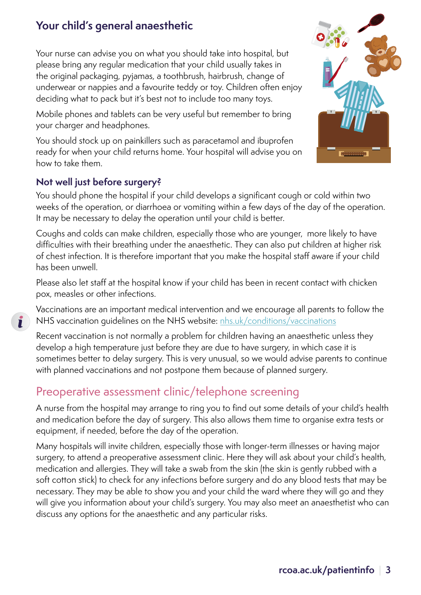Your nurse can advise you on what you should take into hospital, but please bring any regular medication that your child usually takes in the original packaging, pyjamas, a toothbrush, hairbrush, change of underwear or nappies and a favourite teddy or toy. Children often enjoy deciding what to pack but it's best not to include too many toys.

Mobile phones and tablets can be very useful but remember to bring your charger and headphones.

You should stock up on painkillers such as paracetamol and ibuprofen ready for when your child returns home. Your hospital will advise you on how to take them.

#### **Not well just before surgery?**

 $\mathbf{r}$ 

You should phone the hospital if your child develops a significant cough or cold within two weeks of the operation, or diarrhoea or vomiting within a few days of the day of the operation. It may be necessary to delay the operation until your child is better.

Coughs and colds can make children, especially those who are younger, more likely to have difficulties with their breathing under the anaesthetic. They can also put children at higher risk of chest infection. It is therefore important that you make the hospital staff aware if your child has been unwell.

Please also let staff at the hospital know if your child has been in recent contact with chicken pox, measles or other infections.

Vaccinations are an important medical intervention and we encourage all parents to follow the NHS vaccination guidelines on the NHS website: [nhs.uk/conditions/vaccinations](http://www.nhs.uk/conditions/vaccinations)

Recent vaccination is not normally a problem for children having an anaesthetic unless they develop a high temperature just before they are due to have surgery, in which case it is sometimes better to delay surgery. This is very unusual, so we would advise parents to continue with planned vaccinations and not postpone them because of planned surgery.

#### Preoperative assessment clinic/telephone screening

A nurse from the hospital may arrange to ring you to find out some details of your child's health and medication before the day of surgery. This also allows them time to organise extra tests or equipment, if needed, before the day of the operation.

Many hospitals will invite children, especially those with longer-term illnesses or having major surgery, to attend a preoperative assessment clinic. Here they will ask about your child's health, medication and allergies. They will take a swab from the skin (the skin is gently rubbed with a soft cotton stick) to check for any infections before surgery and do any blood tests that may be necessary. They may be able to show you and your child the ward where they will go and they will give you information about your child's surgery. You may also meet an anaesthetist who can discuss any options for the anaesthetic and any particular risks.

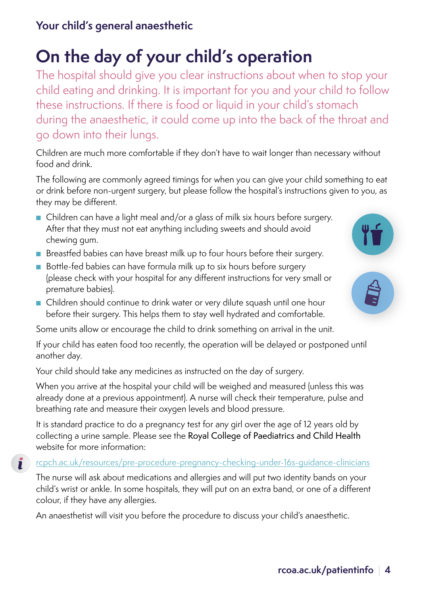# **On the day of your child's operation**

The hospital should give you clear instructions about when to stop your child eating and drinking. It is important for you and your child to follow these instructions. If there is food or liquid in your child's stomach during the anaesthetic, it could come up into the back of the throat and go down into their lungs.

Children are much more comfortable if they don't have to wait longer than necessary without food and drink.

The following are commonly agreed timings for when you can give your child something to eat or drink before non-urgent surgery, but please follow the hospital's instructions given to you, as they may be different.

- Children can have a light meal and/or a glass of milk six hours before surgery. After that they must not eat anything including sweets and should avoid chewing gum.
- Breastfed babies can have breast milk up to four hours before their surgery.
- Bottle-fed babies can have formula milk up to six hours before surgery (please check with your hospital for any different instructions for very small or premature babies).
- Children should continue to drink water or very dilute squash until one hour before their surgery. This helps them to stay well hydrated and comfortable.

Some units allow or encourage the child to drink something on arrival in the unit.

If your child has eaten food too recently, the operation will be delayed or postponed until another day.

Your child should take any medicines as instructed on the day of surgery.

When you arrive at the hospital your child will be weighed and measured (unless this was already done at a previous appointment). A nurse will check their temperature, pulse and breathing rate and measure their oxygen levels and blood pressure.

It is standard practice to do a pregnancy test for any girl over the age of 12 years old by collecting a urine sample. Please see the Royal College of Paediatrics and Child Health website for more information:

#### [rcpch.ac.uk/resources/pre-procedure-pregnancy-checking-under-16s-guidance-clinicians](http://www.rcpch.ac.uk/resources/pre-procedure-pregnancy-checking-under-16s-guidance-clinicians)  $\mathbf{I}$

The nurse will ask about medications and allergies and will put two identity bands on your child's wrist or ankle. In some hospitals, they will put on an extra band, or one of a different colour, if they have any allergies.

An anaesthetist will visit you before the procedure to discuss your child's anaesthetic.

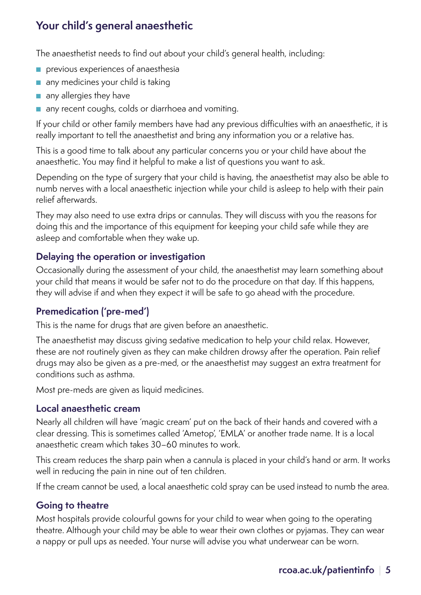The anaesthetist needs to find out about your child's general health, including:

- previous experiences of anaesthesia
- any medicines your child is taking
- any allergies they have
- any recent coughs, colds or diarrhoea and vomiting.

If your child or other family members have had any previous difficulties with an anaesthetic, it is really important to tell the anaesthetist and bring any information you or a relative has.

This is a good time to talk about any particular concerns you or your child have about the anaesthetic. You may find it helpful to make a list of questions you want to ask.

Depending on the type of surgery that your child is having, the anaesthetist may also be able to numb nerves with a local anaesthetic injection while your child is asleep to help with their pain relief afterwards.

They may also need to use extra drips or cannulas. They will discuss with you the reasons for doing this and the importance of this equipment for keeping your child safe while they are asleep and comfortable when they wake up.

#### **Delaying the operation or investigation**

Occasionally during the assessment of your child, the anaesthetist may learn something about your child that means it would be safer not to do the procedure on that day. If this happens, they will advise if and when they expect it will be safe to go ahead with the procedure.

#### **Premedication ('pre-med')**

This is the name for drugs that are given before an anaesthetic.

The anaesthetist may discuss giving sedative medication to help your child relax. However, these are not routinely given as they can make children drowsy after the operation. Pain relief drugs may also be given as a pre-med, or the anaesthetist may suggest an extra treatment for conditions such as asthma.

Most pre-meds are given as liquid medicines.

#### **Local anaesthetic cream**

Nearly all children will have 'magic cream' put on the back of their hands and covered with a clear dressing. This is sometimes called 'Ametop', 'EMLA' or another trade name. It is a local anaesthetic cream which takes 30–60 minutes to work.

This cream reduces the sharp pain when a cannula is placed in your child's hand or arm. It works well in reducing the pain in nine out of ten children.

If the cream cannot be used, a local anaesthetic cold spray can be used instead to numb the area.

#### **Going to theatre**

Most hospitals provide colourful gowns for your child to wear when going to the operating theatre. Although your child may be able to wear their own clothes or pyjamas. They can wear a nappy or pull ups as needed. Your nurse will advise you what underwear can be worn.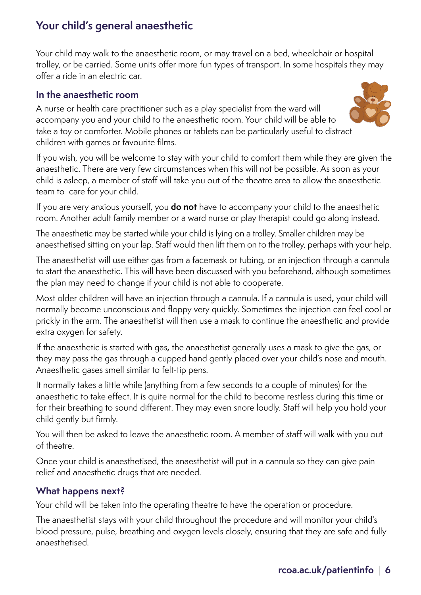Your child may walk to the anaesthetic room, or may travel on a bed, wheelchair or hospital trolley, or be carried. Some units offer more fun types of transport. In some hospitals they may offer a ride in an electric car.

#### **In the anaesthetic room**

A nurse or health care practitioner such as a play specialist from the ward will accompany you and your child to the anaesthetic room. Your child will be able to take a toy or comforter. Mobile phones or tablets can be particularly useful to distract children with games or favourite films.



If you wish, you will be welcome to stay with your child to comfort them while they are given the anaesthetic. There are very few circumstances when this will not be possible. As soon as your child is asleep, a member of staff will take you out of the theatre area to allow the anaesthetic team to care for your child.

If you are very anxious yourself, you **do not** have to accompany your child to the anaesthetic room. Another adult family member or a ward nurse or play therapist could go along instead.

The anaesthetic may be started while your child is lying on a trolley. Smaller children may be anaesthetised sitting on your lap. Staff would then lift them on to the trolley, perhaps with your help.

The anaesthetist will use either gas from a facemask or tubing, or an injection through a cannula to start the anaesthetic. This will have been discussed with you beforehand, although sometimes the plan may need to change if your child is not able to cooperate.

Most older children will have an injection through a cannula. If a cannula is used**,** your child will normally become unconscious and floppy very quickly. Sometimes the injection can feel cool or prickly in the arm. The anaesthetist will then use a mask to continue the anaesthetic and provide extra oxygen for safety.

If the anaesthetic is started with gas**,** the anaesthetist generally uses a mask to give the gas, or they may pass the gas through a cupped hand gently placed over your child's nose and mouth. Anaesthetic gases smell similar to felt-tip pens.

It normally takes a little while (anything from a few seconds to a couple of minutes) for the anaesthetic to take effect. It is quite normal for the child to become restless during this time or for their breathing to sound different. They may even snore loudly. Staff will help you hold your child gently but firmly.

You will then be asked to leave the anaesthetic room. A member of staff will walk with you out of theatre.

Once your child is anaesthetised, the anaesthetist will put in a cannula so they can give pain relief and anaesthetic drugs that are needed.

#### **What happens next?**

Your child will be taken into the operating theatre to have the operation or procedure.

The anaesthetist stays with your child throughout the procedure and will monitor your child's blood pressure, pulse, breathing and oxygen levels closely, ensuring that they are safe and fully anaesthetised.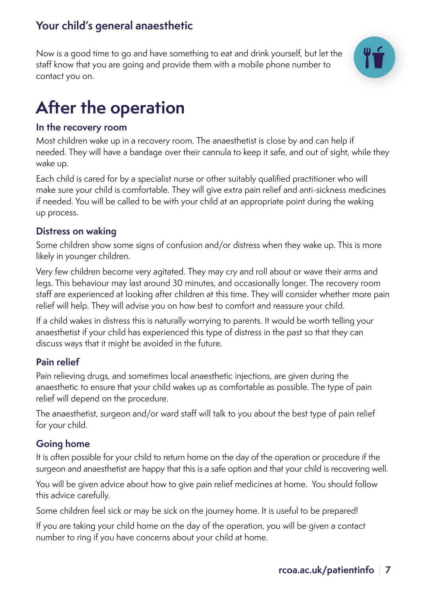Now is a good time to go and have something to eat and drink yourself, but let the staff know that you are going and provide them with a mobile phone number to contact you on.



# **After the operation**

#### **In the recovery room**

Most children wake up in a recovery room. The anaesthetist is close by and can help if needed. They will have a bandage over their cannula to keep it safe, and out of sight, while they wake up.

Each child is cared for by a specialist nurse or other suitably qualified practitioner who will make sure your child is comfortable. They will give extra pain relief and anti-sickness medicines if needed. You will be called to be with your child at an appropriate point during the waking up process.

#### **Distress on waking**

Some children show some signs of confusion and/or distress when they wake up. This is more likely in younger children.

Very few children become very agitated. They may cry and roll about or wave their arms and legs. This behaviour may last around 30 minutes, and occasionally longer. The recovery room staff are experienced at looking after children at this time. They will consider whether more pain relief will help. They will advise you on how best to comfort and reassure your child.

If a child wakes in distress this is naturally worrying to parents. It would be worth telling your anaesthetist if your child has experienced this type of distress in the past so that they can discuss ways that it might be avoided in the future.

#### **Pain relief**

Pain relieving drugs, and sometimes local anaesthetic injections, are given during the anaesthetic to ensure that your child wakes up as comfortable as possible. The type of pain relief will depend on the procedure.

The anaesthetist, surgeon and/or ward staff will talk to you about the best type of pain relief for your child.

#### **Going home**

It is often possible for your child to return home on the day of the operation or procedure if the surgeon and anaesthetist are happy that this is a safe option and that your child is recovering well.

You will be given advice about how to give pain relief medicines at home. You should follow this advice carefully.

Some children feel sick or may be sick on the journey home. It is useful to be prepared!

If you are taking your child home on the day of the operation, you will be given a contact number to ring if you have concerns about your child at home.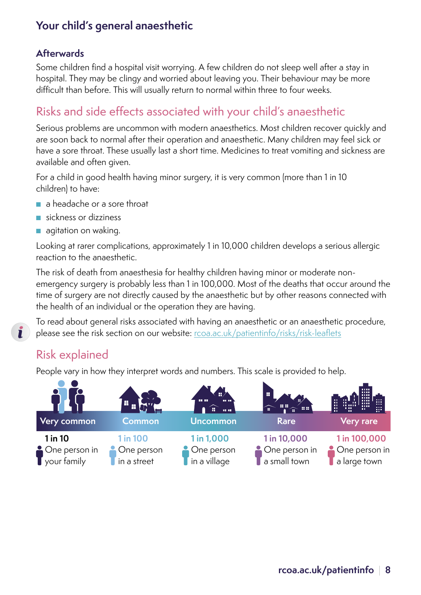#### **Afterwards**

Some children find a hospital visit worrying. A few children do not sleep well after a stay in hospital. They may be clingy and worried about leaving you. Their behaviour may be more difficult than before. This will usually return to normal within three to four weeks.

## Risks and side effects associated with your child's anaesthetic

Serious problems are uncommon with modern anaesthetics. Most children recover quickly and are soon back to normal after their operation and anaesthetic. Many children may feel sick or have a sore throat. These usually last a short time. Medicines to treat vomiting and sickness are available and often given.

For a child in good health having minor surgery, it is very common (more than 1 in 10 children) to have:

- a headache or a sore throat
- sickness or dizziness
- agitation on waking.

Looking at rarer complications, approximately 1 in 10,000 children develops a serious allergic reaction to the anaesthetic.

The risk of death from anaesthesia for healthy children having minor or moderate nonemergency surgery is probably less than 1 in 100,000. Most of the deaths that occur around the time of surgery are not directly caused by the anaesthetic but by other reasons connected with the health of an individual or the operation they are having.

To read about general risks associated with having an anaesthetic or an anaesthetic procedure, please see the risk section on our website: [rcoa.ac.uk/patientinfo/risks/risk-leaflets](http://rcoa.ac.uk/patientinfo/risks/risk-leaflets)

#### Risk explained

 $\mathbf{r}$ 

People vary in how they interpret words and numbers. This scale is provided to help.

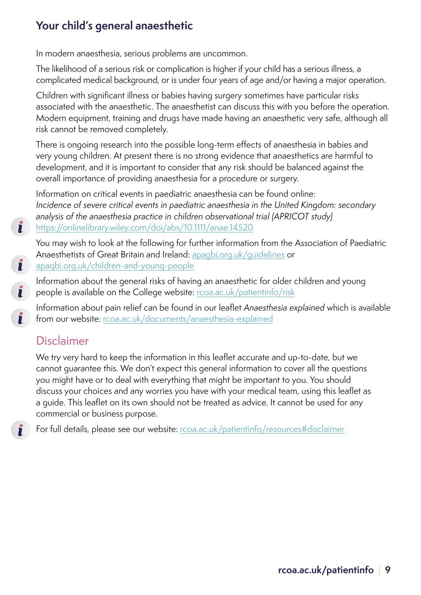In modern anaesthesia, serious problems are uncommon.

The likelihood of a serious risk or complication is higher if your child has a serious illness, a complicated medical background, or is under four years of age and/or having a major operation.

Children with significant illness or babies having surgery sometimes have particular risks associated with the anaesthetic. The anaesthetist can discuss this with you before the operation. Modern equipment, training and drugs have made having an anaesthetic very safe, although all risk cannot be removed completely.

There is ongoing research into the possible long-term effects of anaesthesia in babies and very young children. At present there is no strong evidence that anaesthetics are harmful to development, and it is important to consider that any risk should be balanced against the overall importance of providing anaesthesia for a procedure or surgery.

Information on critical events in paediatric anaesthesia can be found online: *Incidence of severe critical events in paediatric anaesthesia in the United Kingdom: secondary analysis of the anaesthesia practice in children observational trial (APRICOT study)* <https://onlinelibrary.wiley.com/doi/abs/10.1111/anae.14520>

You may wish to look at the following for further information from the Association of Paediatric Anaesthetists of Great Britain and Ireland: [apagbi.org.uk/guidelines](http://www.apagbi.org.uk/guidelines) or [apagbi.org.uk/children-and-young-people](http://apagbi.org.uk/children-and-young-people)

Information about the general risks of having an anaesthetic for older children and young people is available on the College website: [rcoa.ac.uk/patientinfo/risk](http://rcoa.ac.uk/patientinfo/risk)

Information about pain relief can be found in our leaflet *Anaesthesia explained* which is available from our website: [rcoa.ac.uk/documents/anaesthesia-explained](http://rcoa.ac.uk/documents/anaesthesia-explained)

# Disclaimer

 $\mathbf{L}$ 

 $\mathbf{i}$ 

 $\mathbf{I}$ 

Ĭ

We try very hard to keep the information in this leaflet accurate and up-to-date, but we cannot guarantee this. We don't expect this general information to cover all the questions you might have or to deal with everything that might be important to you. You should discuss your choices and any worries you have with your medical team, using this leaflet as a guide. This leaflet on its own should not be treated as advice. It cannot be used for any commercial or business purpose.

For full details, please see our website: [rcoa.ac.uk/patientinfo/resources#disclaimer](http://www.rcoa.ac.uk/patientinfo/resources#disclaimer)